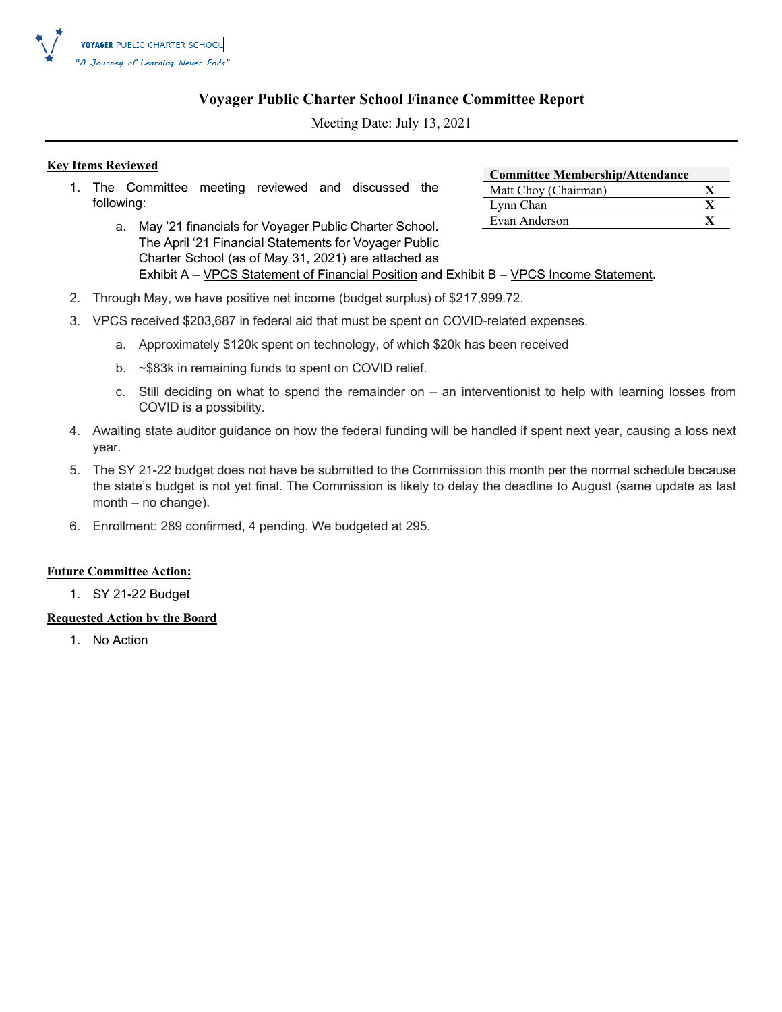

### **Voyager Public Charter School Finance Committee Report**

Meeting Date: July 13, 2021

### **Key Items Reviewed**

- 1. The Committee meeting reviewed and discussed the following:
	- a. May '21 financials for Voyager Public Charter School. The April '21 Financial Statements for Voyager Public Charter School (as of May 31, 2021) are attached as Exhibit A – VPCS Statement of Financial Position and Exhibit B – VPCS Income Statement.
- 2. Through May, we have positive net income (budget surplus) of \$217,999.72.
- 3. VPCS received \$203,687 in federal aid that must be spent on COVID-related expenses.
	- a. Approximately \$120k spent on technology, of which \$20k has been received
	- b. ~\$83k in remaining funds to spent on COVID relief.
	- c. Still deciding on what to spend the remainder on an interventionist to help with learning losses from COVID is a possibility.
- 4. Awaiting state auditor guidance on how the federal funding will be handled if spent next year, causing a loss next year.
- 5. The SY 21-22 budget does not have be submitted to the Commission this month per the normal schedule because the state's budget is not yet final. The Commission is likely to delay the deadline to August (same update as last month – no change).
- 6. Enrollment: 289 confirmed, 4 pending. We budgeted at 295.

#### **Future Committee Action:**

1. SY 21-22 Budget

### **Requested Action by the Board**

1. No Action

| <b>Committee Membership/Attendance</b> |  |
|----------------------------------------|--|
| Matt Choy (Chairman)                   |  |
| Lynn Chan                              |  |
| Evan Anderson                          |  |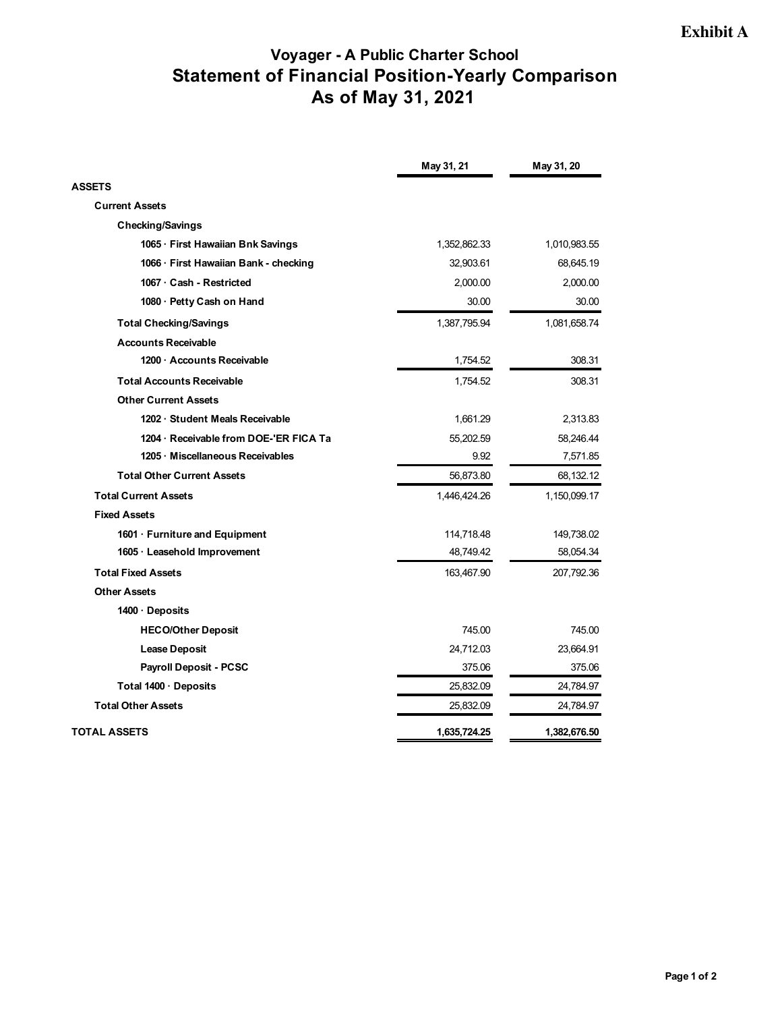### **Voyager - A Public Charter School Statement of Financial Position-Yearly Comparison As of May 31, 2021**

|                                       | May 31, 21   | May 31, 20   |
|---------------------------------------|--------------|--------------|
| <b>ASSETS</b>                         |              |              |
| <b>Current Assets</b>                 |              |              |
| <b>Checking/Savings</b>               |              |              |
| 1065 · First Hawaiian Bnk Savings     | 1,352,862.33 | 1,010,983.55 |
| 1066 · First Hawaiian Bank - checking | 32,903.61    | 68,645.19    |
| 1067 Cash - Restricted                | 2,000.00     | 2,000.00     |
| 1080 · Petty Cash on Hand             | 30.00        | 30.00        |
| <b>Total Checking/Savings</b>         | 1,387,795.94 | 1,081,658.74 |
| <b>Accounts Receivable</b>            |              |              |
| 1200 Accounts Receivable              | 1,754.52     | 308.31       |
| <b>Total Accounts Receivable</b>      | 1,754.52     | 308.31       |
| <b>Other Current Assets</b>           |              |              |
| 1202 · Student Meals Receivable       | 1,661.29     | 2,313.83     |
| 1204 Receivable from DOE-'ER FICA Ta  | 55,202.59    | 58,246.44    |
| 1205 · Miscellaneous Receivables      | 9.92         | 7,571.85     |
| <b>Total Other Current Assets</b>     | 56,873.80    | 68,132.12    |
| <b>Total Current Assets</b>           | 1,446,424.26 | 1,150,099.17 |
| <b>Fixed Assets</b>                   |              |              |
| 1601 · Furniture and Equipment        | 114,718.48   | 149,738.02   |
| 1605 · Leasehold Improvement          | 48,749.42    | 58,054.34    |
| <b>Total Fixed Assets</b>             | 163,467.90   | 207,792.36   |
| <b>Other Assets</b>                   |              |              |
| 1400 · Deposits                       |              |              |
| <b>HECO/Other Deposit</b>             | 745.00       | 745.00       |
| <b>Lease Deposit</b>                  | 24,712.03    | 23,664.91    |
| <b>Payroll Deposit - PCSC</b>         | 375.06       | 375.06       |
| Total 1400 · Deposits                 | 25,832.09    | 24,784.97    |
| <b>Total Other Assets</b>             | 25,832.09    | 24,784.97    |
| <b>TOTAL ASSETS</b>                   | 1,635,724.25 | 1,382,676.50 |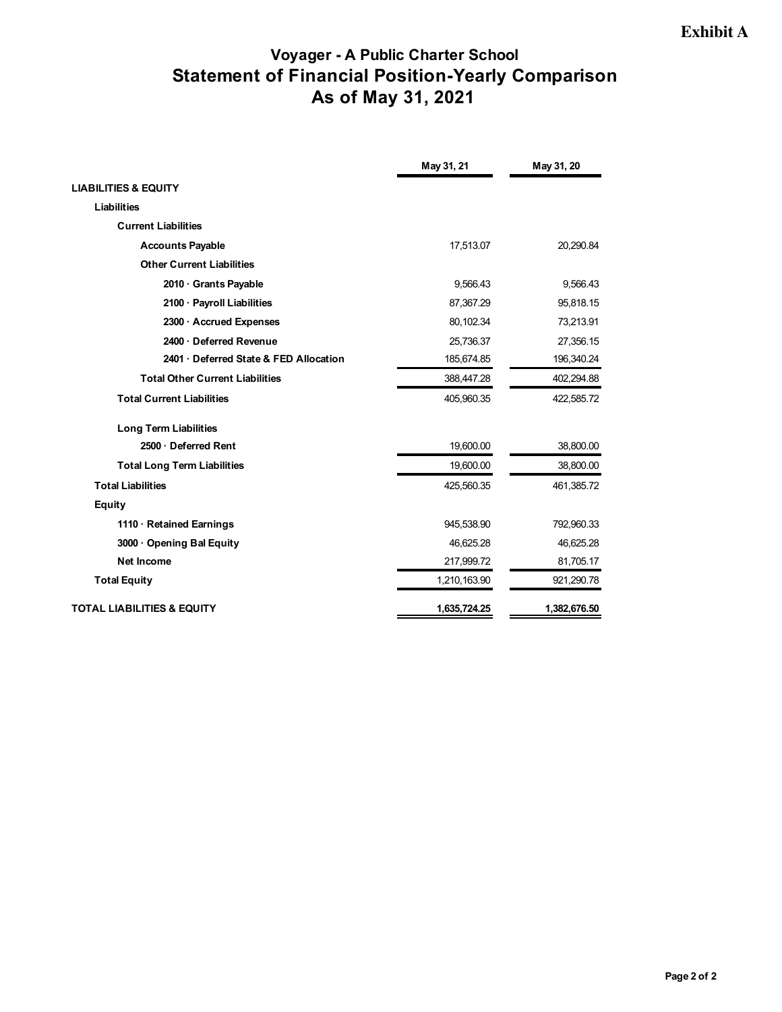### **Voyager - A Public Charter School Statement of Financial Position-Yearly Comparison As of May 31, 2021**

|                                        | May 31, 21   | May 31, 20   |
|----------------------------------------|--------------|--------------|
| <b>LIABILITIES &amp; EQUITY</b>        |              |              |
| Liabilities                            |              |              |
| <b>Current Liabilities</b>             |              |              |
| <b>Accounts Payable</b>                | 17,513.07    | 20,290.84    |
| <b>Other Current Liabilities</b>       |              |              |
| 2010 Grants Payable                    | 9,566.43     | 9,566.43     |
| 2100 · Payroll Liabilities             | 87,367.29    | 95,818.15    |
| 2300 · Accrued Expenses                | 80,102.34    | 73,213.91    |
| 2400 Deferred Revenue                  | 25,736.37    | 27,356.15    |
| 2401 Deferred State & FED Allocation   | 185,674.85   | 196,340.24   |
| <b>Total Other Current Liabilities</b> | 388,447.28   | 402,294.88   |
| <b>Total Current Liabilities</b>       | 405,960.35   | 422,585.72   |
| <b>Long Term Liabilities</b>           |              |              |
| 2500 · Deferred Rent                   | 19,600.00    | 38,800.00    |
| <b>Total Long Term Liabilities</b>     | 19,600.00    | 38,800.00    |
| <b>Total Liabilities</b>               | 425,560.35   | 461,385.72   |
| Equity                                 |              |              |
| 1110 · Retained Earnings               | 945,538.90   | 792,960.33   |
| 3000 Opening Bal Equity                | 46,625.28    | 46,625.28    |
| Net Income                             | 217,999.72   | 81,705.17    |
| <b>Total Equity</b>                    | 1,210,163.90 | 921,290.78   |
| <b>TOTAL LIABILITIES &amp; EQUITY</b>  | 1,635,724.25 | 1,382,676.50 |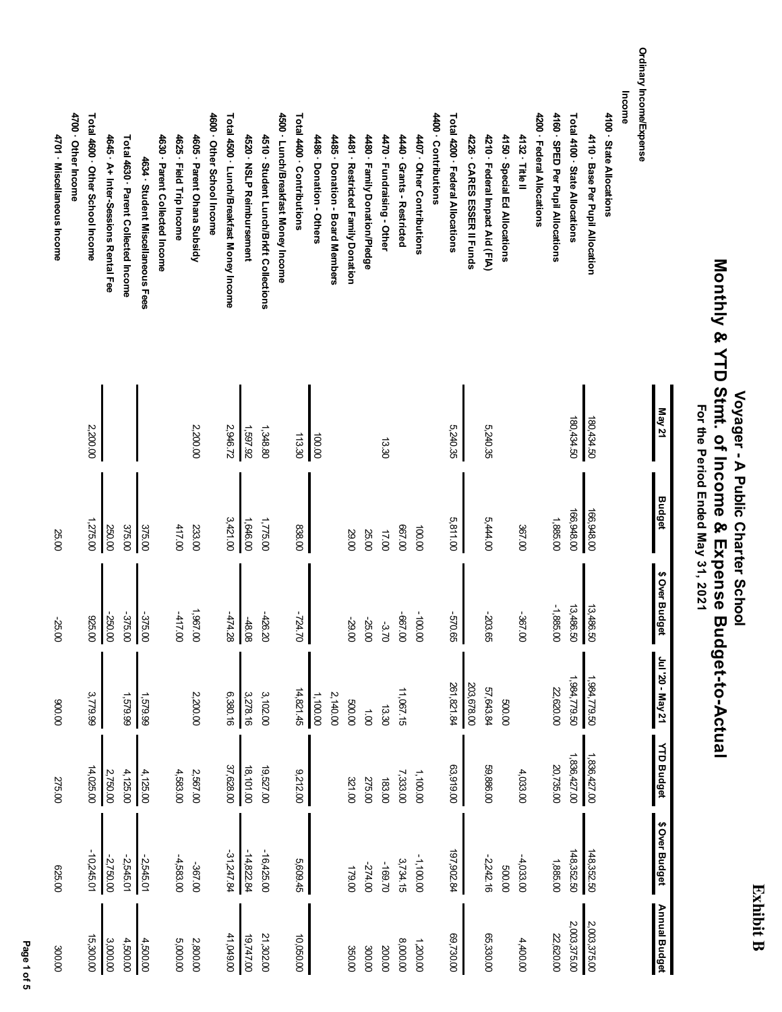### **Exhibit B Exhibit B**

## **Monthly & YTD Stmt. of Income & Expense Budget-to-Actual** Monthly & YTD Strut of Income & Expense Budget-to-Actual  **Voyager - A Public Charter School** Voyager - A Public Charter School For the Period Ended May 31, 2021  **For the Period Ended May 31, 2021**

Ordinary Income/Expense **Ordinary Income/Expense Income** Total 4400 . Contributions 4700 Other Income Total 4600 · Other School Income Total 4500 · Lunch/Breakfast Money Income Total 4200 · Federal Allocations 4200 · Federal Allocations 4160 · SPED Per Pupil Allocations Total 4100 · State Allocations 4100 · State Allocations **4700 · Other Income Total 4600 · Other School Income** 4600 · Other School Income **4600 · Other School Income Total 4500 · Lunch/Breakfast Money Income** 4500 · Lunch/Breakfast Money Income **4500 · Lunch/Breakfast Money Income Total 4400 · Contributions** 4400 · Contributions **4400 · Contributions Total 4200 · Federal Allocations 4200 · Federal Allocations 4160 · SPED Per Pupil Allocations Total 4100 · State Allocations 4100 · State Allocations** 4625 · Field Trip Income 4605 · Parent Ohana Subsidy 4510 · Student Lunch/Brkft Collections 4480 · Family Donation/Pledge 4470 · Fundraising - Other 4210 · Federal Impact Aid (FIA) 4150 · Special Ed Allocations 4132 · Title II 4110 · Base Per Pupil Allocation 4701 · Miscellaneous Income **4701 · Miscellaneous Income 4645 · A+ Inter-Sessions Rental Fee** Total 4630 · Parent Collected Income **Total 4630 · Parent Collected Income** 4630 · Parent Collected Income **4630 · Parent Collected Income 4625 · Field Trip Income 4605 · Parent Ohana Subsidy 4520 · NSLP Reimbursement 4510 · Student Lunch/Brkft Collections 4486 · Donation - Others 4485 · Donation - Board Members** 4481 · Restricted Family Donation **4481 · Restricted Family Donation 4480 · Family Donation/Pledge 4470 · Fundraising - Other** 4440 · Grants - Restricted **4440 · Grants - Restricted** 4407 Other Contributions **4407 · Other Contributions** 4226 · CARES ESSER II Funds **4226 · CARES ESSER II Funds 4210 · Federal Impact Aid (FIA) 4150 · Special Ed Allocations 4132 · Title II 4110 · Base Per Pupil Allocation** 4645 · A+ Inter-Sessions Rental Fee 4520 · NSLP Reinbursement 4486 · Donation - Others 4485 · Donation - Board Members 4634 · Student Miscellaneous Fees **4634 · Student Miscellaneous Fees May 21** 180,434.50 180,434.50 180,434.50 180,434.50 2,946.72 1,597.92 5,240.35 2,200.00 2,200.00 1,348.80 5,240.35 113.30 100.00 13.30 **Budget** 166,948.00 166,948.00 166,948.00 166,948.00 5,811.00 1,885.00 3,421.00 1,775.00 5,444.00 1,275.00 1,646.00 375.00 375.00 417.00 838.00 667.00 233.00 367.00 250.00 100.00 25.00 29.00 25.00 17.00 \$ Over Budget **\$ Over Budget** -1,885.00 13,486.50 13,486.50 1,967.00 -417.00 -724.70 -250.00 -375.00 -375.00 -474.28 -426.20 -667.00 -100.00 -570.65 -203.65 -367.00 925.00 -48.08 -25.00 -29.00 -25.00 -3.70 120 - May 21 **Jul '20 - May 21** 1,984,779.50 1,984,779.50 1,984,779.50 984,779.50 261,821.84 261,821.84 203,678.00 203,678.00 14,821.45 57,643.84 3,779.99 2,200.00 6,380.16 3,102.00 11,067.15 22,620.00 1,579.99 3,278.16 1,100.00 1,579.99 2,140.00 500.00 500.00 900.00 13.30  $0.00$ **YTD Budget YTD Budget** 1,836,427.00 1,836,427.00 1,836,427.00 1,836,427.00 37,628.00 20,735.00 14,025.00 2,567.00 18,101.00 19,527.00 9,212.00 63,919.00 59,886.00 4,125.00 4,125.00 4,583.00 7,333.00 1,100.00 4,033.00 2,750.00 321.00 275.00 183.00 275.00 \$ Over Budget **\$ Over Budget** -31,247.84 148,352.50  $-16,425.00$ 197,902.84 148,352.50 -10,245.01 -31,247.84  $-14,822.84$ -14,822.84 -16,425.00 197,902.84 -4,033.00 148,352.50 148,352.50 -2,750.00 -2,545.01 -1,100.00 -2,545.01 -4,583.00 5,609.45 3,734.15 -2,242.16 1,885.00 -169.70 -367.00 -274.00 500.00 625.00 179.00 Annual Budget **Annual Budget** 2,003,375.00 2,003,375.00 2,003,375.00 2,003,375.00 15,300.00 41,049.00 69,730.00 65,330.00 5,000.00 19,747.00 21,302.00 10,050.00 22,620.00 3,000.00 4,500.00 2,800.00 1,200.00 4,400.00 4,500.00 8,000.00 200.00 300.00 350.00 300.00

 **Page 1 of 5** Page 1 of 5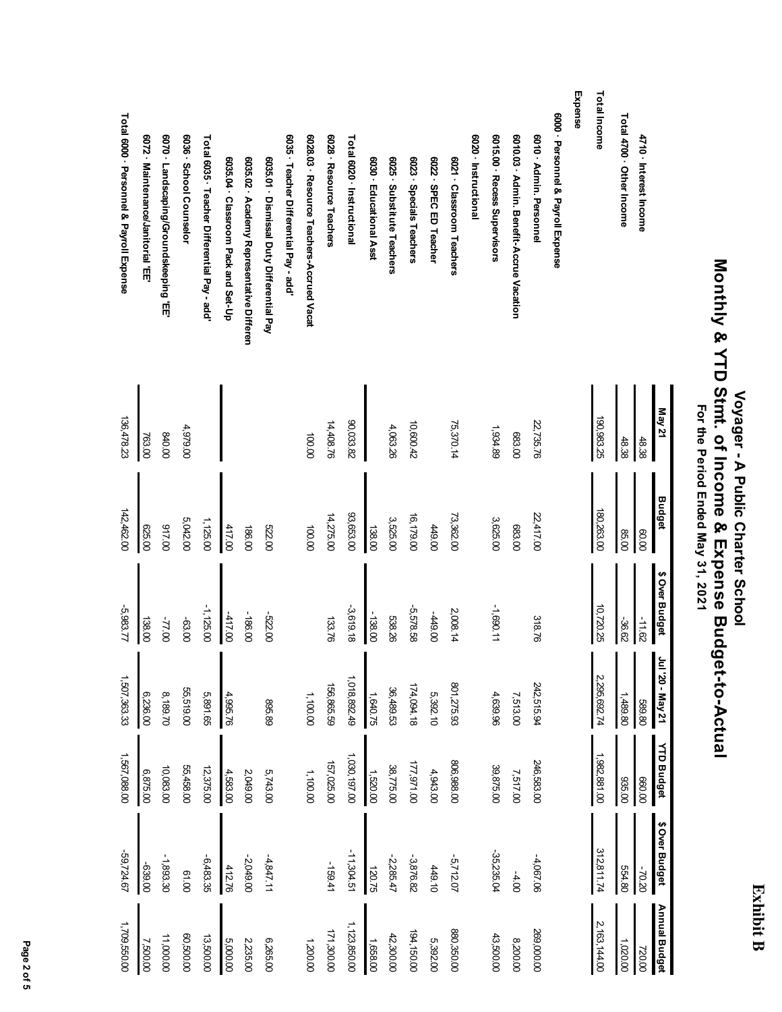| c |
|---|
|   |
|   |
|   |
|   |
|   |

# Voyager - A Public Charter School<br>Monthly & YTD Stmt. of Income & Expense Budget-to-Actual<br>For the Period Ended May 31, 2021  **Monthly & YTD Stmt. of Income & Expense Budget-to-Actual Voyager - A Public Charter School For the Period Ended May 31, 2021**

|                                              | May 21     | <b>Budget</b> | \$ Over Budget | 120 - May 21 | <b>YTD Budget</b> | \$ Over Budget | Annual Budget |
|----------------------------------------------|------------|---------------|----------------|--------------|-------------------|----------------|---------------|
| 4710 · Interest Income                       | 48.38      | 00.00         | $-11.62$       | 08'689       | 660.00            | -70.20         | 720.00        |
| Total 4700 Other Income                      | 48.38      | 85.00         | -36.62         | 1,489.80     | 935.00            | 554.80         | 1,020.00      |
| Total Income                                 | 190,983.25 | 180,263.00    | 10,720.25      | 2,295,692.74 | 1,982,881.00      | 312,811.74     | 2,163,144.00  |
| Expense                                      |            |               |                |              |                   |                |               |
| 6000 · Personnel & Payroll Expense           |            |               |                |              |                   |                |               |
| 6010 - Admin. Personnel                      | 22,735.76  | 22,417.00     | 318.76         | 242,515.94   | 246,583.00        | $-4,067.06$    | 269,000.00    |
| 6010.03 · Admin. Benefit-Accrue Vacation     | 683.00     | 683.00        |                | 7,513.00     | 7,517.00          | $-4.00$        | 8,200.00      |
| 6015.00 · Recess Supervisors                 | 1,934.89   | 3,625.00      | $-1.090.11$    | 4,639.96     | 39,875.00         | 35,235.04      | 43,500.00     |
| 6020 - Instructional                         |            |               |                |              |                   |                |               |
| 6021 · Classroom Teachers                    | 75,370.14  | 73,362.00     | 2,008.14       | 801,275.93   | 806,988.00        | $-5,712.07$    | 880,350.00    |
| 6022 SPEC ED Teacher                         |            | 449.00        | 00'644-        | 5,392.10     | 4,943.00          | 449.10         | 5,392.00      |
| 6023 · Specials Teachers                     | 10,600.42  | 16,179.00     | 5,578.58       | 174,094.18   | 17,971.00         | $-3,876.82$    | 194,150.00    |
| 6025 Substitute Teachers                     | 4,063.26   | 3,525.00      | 538.26         | 36,489.53    | 38,775.00         | $-2,285.47$    | 42,300.00     |
| 6030 · Educational Asst                      |            | 138.00        | $-138.00$      | 1,640.75     | 1,520.00          | 120.75         | 1,658.00      |
| Total 6020 - Instructional                   | 90,033.82  | 93,653.00     | $-3,619.18$    | 1,018,892.49 | 1,030,197.00      | $-11,304.51$   | 1,123,850.00  |
| 6028 · Resource Teachers                     | 14,408.76  | 14,275.00     | 133.76         | 156,865.59   | 157,025.00        | -159.41        | 171,300.00    |
| 6028.03 · Resource Teachers-Accrued Vacat    | 100.00     | 100.00        |                | 1,100.00     | 1,100.00          |                | 1,200.00      |
| 6035 · Teacher Differential Pay - add'       |            |               |                |              |                   |                |               |
| 6035.01 · Dismissal Duty Differential Pay    |            | 522.00        | 00'ZZ9-        | 895.89       | 5,743.00          | $-4,847.11$    | 6,265.00      |
| 6035.02 · A cademy Representative Differen   |            | 186.00        | -186.00        |              | 2,049.00          | $-2,049.00$    | 2,235.00      |
| 6035.04 · Classroom Pack and Set-Up          |            | 417.00        | -417.00        | 4,995.76     | 4,583.00          | 412.76         | 5,000.00      |
| Total 6035 · Teacher Differential Pay - add' |            | 1,125.00      | $-1,125.00$    | 5,891.65     | 12,375.00         | $-6,483.35$    | 13,500.00     |
| 6036 · School Counselor                      | 4,979.00   | 5,042.00      | -63.00         | 55,519.00    | 55,458.00         | 0019           | 00'00'200     |
| 6070 · Landscaping/Groundskeeping 'EE'       | 00008      | 00'116        | $-77.00$       | 8,189.70     | 10,083.00         | $-1,893.30$    | 11,000.00     |
| 6072 · Maintenance/Janitorial 'EE'           | 763.00     | 625.00        | 138.00         | 6,236.00     | 6,875.00          | 00'689-        | 7,500.00      |
| Total 6000 · Personnel & Payroll Expense     | 136,478.23 | 142,462.00    | 5,983.77       | 1,507,363.33 | 1,567,088.00      | -59,724.67     | 1,709,550.00  |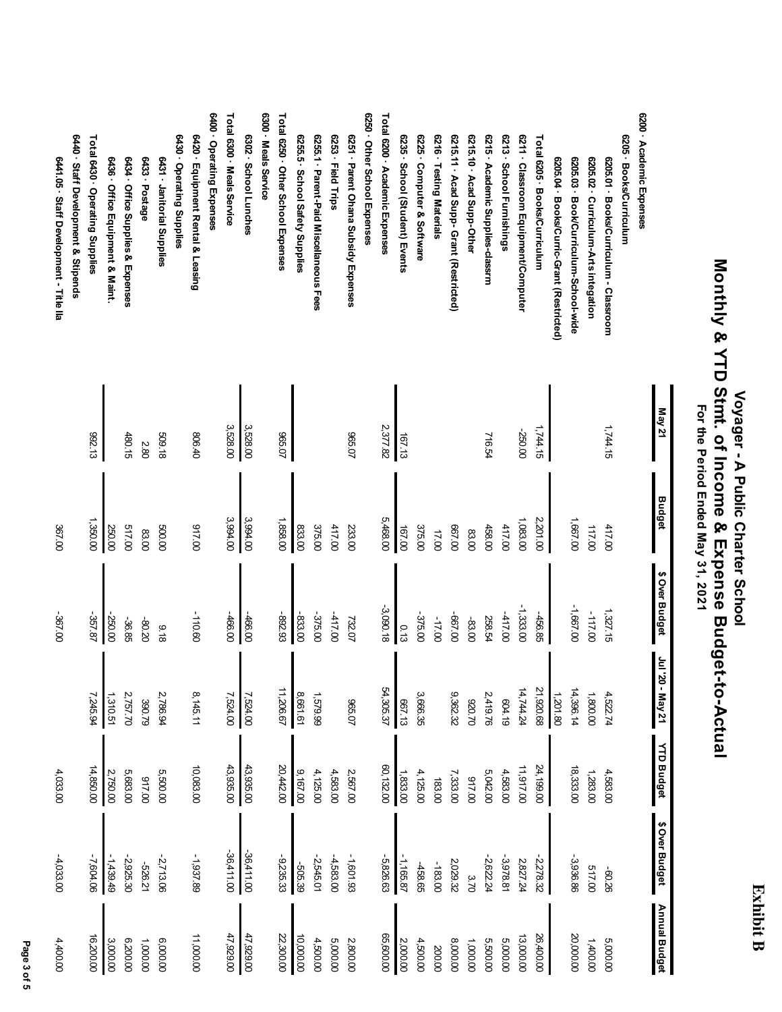## **Exhibit B Exhibit B**

## Voyager - A Public Charter School<br>Monthly & YTD Stmt. of Income & Expense Budget-to-Actual<br>For the Period Ended May 31, 2021  **Monthly & YTD Stmt. of Income & Expense Budget-to-Actual Voyager - A Public Charter School For the Period Ended May 31, 2021**

|                                           | <b>Nay 21</b> | Budget   | \$ Over Budget | 02. IPP<br>- May 21 | <b>YTD Budget</b> | \$ Over Budget | <b>Annual Budget</b> |
|-------------------------------------------|---------------|----------|----------------|---------------------|-------------------|----------------|----------------------|
| 6200 - Academic Expenses                  |               |          |                |                     |                   |                |                      |
| 6205 · Books/Curriculum                   |               |          |                |                     |                   |                |                      |
| 6205.01 · Books/Curriculum - Classroom    | 1,744.15      | 417.00   | 1,327.15       | 4,522.74            | 4,583.00          | 9709-          | 5,000.00             |
| 6205.02 · Curriculum-Arts integation      |               | 117.00   | $-117.00$      | 1,800.00            | 1,283.00          | 517.00         | 1,400.00             |
| 6205.03 · Book/Curriculum-School-wide     |               | 1,667.00 | -1,667.00      | 14,396.14           | 18,333.00         | $-3,936.86$    | 20,000.00            |
| 6205.04 · Books/Curric-Grant (Restricted) |               |          |                | 1,201.80            |                   |                |                      |
| Total 6205 · Books/Curriculum             | 1,744.15      | 2,201.00 | -456.85        | 21,920.68           | 24,199.00         | $-2,278.32$    | 26,400.00            |
| 6211 · Classroom Equipment/Computer       | -250.00       | 1,083.00 | $-1,333.00$    | 14,744.24           | 11,917.00         | 2,827.24       | 13,000.00            |
| 6213 · School Furnishings                 |               | 417.00   | $-417.00$      | 604.19              | 4,583.00          | $-3,978.81$    | 5,000.00             |
| 6215 - Academic Supplies-classrm          | 716.54        | 458.00   | 258.54         | 2,419.76            | 5,042.00          | $-2,622.24$    | 5,500.00             |
| 6215.10 Acad Supp-Other                   |               | 83.00    | -83.00         | 02:026              | 00'116            | 3.70           | 1,000.00             |
| 6215.11 - Acad Supp- Grant (Restricted)   |               | 00'299   | 00'Z99-        | 9,362.32            | 7,333.00          | 2,029.32       | 8,000.00             |
| 6216 · Testing Materials                  |               | 17.00    | $-17.00$       |                     | 183.00            | $-183.00$      | 200.00               |
| 6225 Computer & Software                  |               | 375.00   | -375.00        | 3,666.35            | 4,125.00          | -458.65        | 4,500.00             |
| 6235 · School (Student) Events            | 167.13        | 167.00   | 0.13           | 667.13              | 1,833.00          | $-1,165.87$    | 2,000.00             |
| Total 6200 · Academic Expenses            | 2,377.82      | 5,468.00 | $-3,090.18$    | 54,305.37           | 60,132.00         | $-5,826.63$    | 65,600.00            |
| 6250 Other School Expenses                |               |          |                |                     |                   |                |                      |
| 6251 - Parent Ohana Subsidy Expenses      | 20°296        | 233.00   | 732.07         | 20'996              | 2,567.00          | -1,601.93      | 2,800.00             |
| 6253 · Field Trips                        |               | 417.00   | $-417.00$      |                     | 4,583.00          | $-4,583.00$    | 5,000.00             |
| 6255.1 · Parent-Paid Miscellaneous Fees   |               | 375.00   | -375.00        | 1,579.99            | 4,125.00          | $-2,545.01$    | 4,500.00             |
| 625.5 · School Safety Supplies            |               | 833.00   | -833.00        | 8,661.61            | 9,167.00          | -505.39        | 10,000.00            |
| Total 6250 · Other School Expenses        | <b>10°996</b> | 1,858.00 | -892.93        | 11,206.67           | 20,442.00         | $-9,235.33$    | 22,300.00            |
| 6300 · Meals Service                      |               |          |                |                     |                   |                |                      |
| 6302 · School Lunches                     | 3,528.00      | 3,994.00 | -466.00        | 7,524.00            | 43,935.00         | $-36,411.00$   | 47,929.00            |
| Total 6300 · Meals Service                | 3,528.00      | 3,994.00 | -466.00        | 7,524.00            | 43,935.00         | $-36,411.00$   | 47,929.00            |
| 6400 Operating Expenses                   |               |          |                |                     |                   |                |                      |
| 6420 · Equipment Rental & Leasing         | 806.40        | 00'116   | -110.60        | 8,145.11            | 10,083.00         | -1,937.89      | 11,000.00            |
| 6430 - Operating Supplies                 |               |          |                |                     |                   |                |                      |
| 6431 - Janitorial Supplies                | 509.18        | 500.00   | 816            | 2,786.94            | 5,500.00          | $-2,713.06$    | 6,000.00             |
| 6433 · Postage                            | 2.80          | 83.00    | -80.20         | 390.79              | 00'116            | -526.21        | 1,000.00             |
| 6434 Office Supplies & Expenses           | 480.15        | 00'119   | -36.85         | 2,757.70            | 5,683.00          | $-2,925.30$    | 6,200.00             |
| 6436 · Office Equipment & Maint.          |               | 250.00   | -250.00        | 1,310.51            | 2,750.00          | 1,439.49       | 3,000.00             |
| Total 6430 · Operating Supplies           | 892.13        | 1,350.00 | -357.87        | 7,245.94            | 14,850.00         | -7,604.06      | 16,200.00            |
| 6440 · Staff Development & Stipends       |               |          |                |                     |                   |                |                      |
| 6441.05 · Staff Development - Title Ila   |               | 367.00   | -367.00        |                     | 4,033.00          | $-4,033.00$    | 4,400.00             |
|                                           |               |          |                |                     |                   |                |                      |

Page 3 of 5  **Page 3 of 5**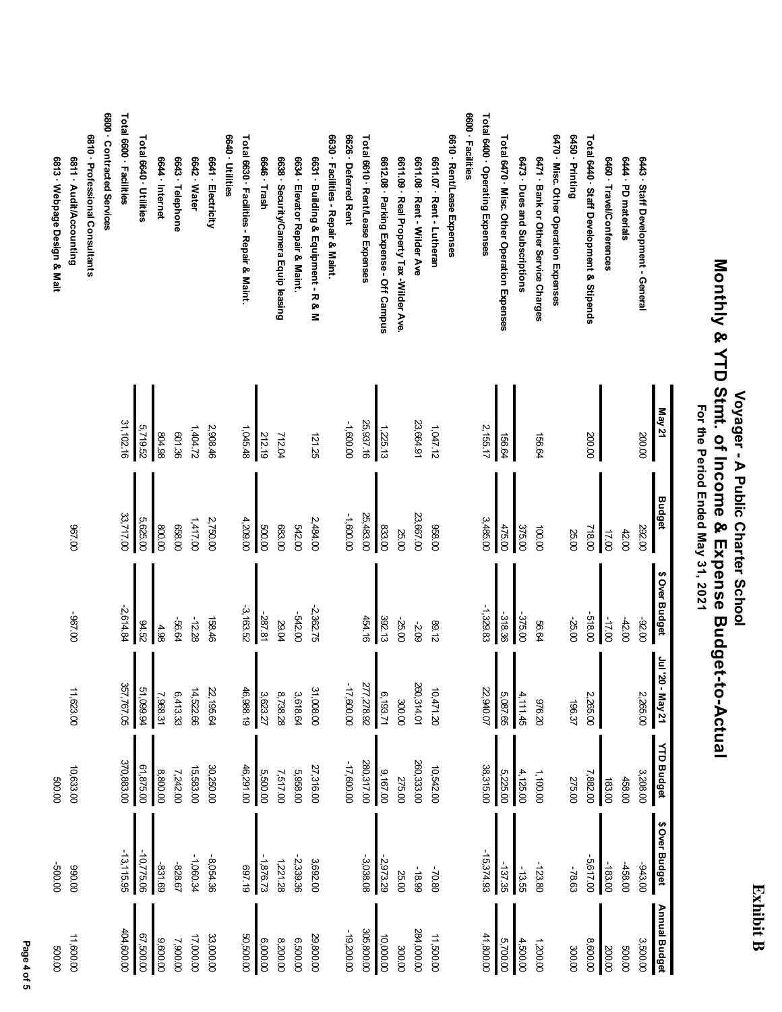| c |  |
|---|--|
|   |  |
|   |  |
| Ξ |  |

# Voyager - A Public Charter School<br>Monthly & YTD Stmt. of Income & Expense Budget-to-Actual<br>For the Period Ended May 31, 2021  **Monthly & YTD Stmt. of Income & Expense Budget-to-Actual Voyager - A Public Charter School For the Period Ended May 31, 2021**

|                                             | May 21    | Budget    | \$ Over Budget | 02. IPP<br>- May 21 | <b>YTD Budget</b> | \$ Over Budget | Annual Budget |
|---------------------------------------------|-----------|-----------|----------------|---------------------|-------------------|----------------|---------------|
| 6443 · Staff Development - General          | 200.00    | 292.00    | -92.00         | 2,265.00            | 3,208.00          | -943.00        | 3,500.00      |
| 6444 - PD materials                         |           | 42.00     | $-42.00$       |                     | 458.00            | -458.00        | 00'009        |
| 6460 · Travel/Conferences                   |           | 17.00     | 00'ZL-         |                     | 183.00            | $-183.00$      | 200.00        |
| Total 6440 · Staff Development & Stipends   | 200.00    | 718.00    | -518.00        | 2,265.00            | 7,882.00          | $-5,617.00$    | 8,600.00      |
| 6450 - Printing                             |           | 25.00     | -25.00         | 196.37              | 275.00            | -78.63         | 300.00        |
| 6470 · Misc. Other Operation Expenses       |           |           |                |                     |                   |                |               |
| 6471 · Bank or Other Service Charges        | 156.64    | 100.00    | 56.64          | 02'926              | 1,100.00          | $-123.80$      | 1,200.00      |
| 6473 · Dues and Subscriptions               |           | 375.00    | -375.00        | 4,111.45            | 4,125.00          | $-13.55$       | 4,500.00      |
| Total 6470 · Misc. Other Operation Expenses | 156.64    | 475.00    | -318.36        | 5,087.65            | 5,225.00          | $-137.35$      | 5,700.00      |
| Total 6400 · Operating Expenses             | 2,155.17  | 3,485.00  | $-1,329.83$    | 22,940.07           | 38,315.00         | $-15,374.93$   | 41,800.00     |
| 6600 · Facilities                           |           |           |                |                     |                   |                |               |
| 6610 · Rent/Lease Expenses                  |           |           |                |                     |                   |                |               |
| 0611.07 · Nent - Lutheran                   | 1,047.12  | 028.00    | <b>89.12</b>   | 10,471.20           | 10,542.00         | -70.80         | 11,500.00     |
| 6611.08 · Rent - Wilder Ave                 | 23,664.91 | 23,667.00 | -2.09          | 260,314.01          | 260,333.00        | -18.99         | 284,000.00    |
| 6611.09 · Real Property Tax -Wilder Ave.    |           | 25.00     | $-25.00$       | 300.00              | 275.00            | 25.00          | 300.00        |
| 6612.08 · Parking Expense - Off Campus      | 1,225.13  | 833.00    | 392.13         | 6,193.71            | 9,167.00          | -2,973.29      | 10,000.00     |
| Total 6610 · Rent/Lease Expenses            | 25,937.16 | 25,483.00 | 454.16         | 277,278.92          | 280,317.00        | $-3,038.08$    | 305,800.00    |
| 6626 · Deferred Rent                        | -1,600.00 | -1,600.00 |                | $-17,600.00$        | $-17,600.00$      |                | $-19,200.00$  |
| 6630 · Facilities - Repair & Maint.         |           |           |                |                     |                   |                |               |
| 6631 · Building & Equipment - R & M         | 121.25    | 2,484.00  | $-2,362.75$    | 31,008.00           | 27,316.00         | 3,692.00       | 29,800.00     |
| 6634 · Elevator Repair & Maint.             |           | 542.00    | -542.00        | 3,618.64            | 5,958.00          | $-2, 339.36$   | 6,500.00      |
| 6638 · Security/Camera Equip leasing        | 712.04    | 683.00    | 29.04          | 8,738.28            | 7,517.00          | 1,221.28       | 8,200.00      |
| 6646 · Trash                                | 212.19    | 00'009    | -287.81        | 3,623.27            | 5,500.00          | $-1,876.73$    | 6,000.00      |
| Total 6630 · Facilities - Repair & Maint.   | 1,045.48  | 4,209.00  | $-3,163.52$    | 46,988.19           | 46,291.00         | 61'469         | 50,500.00     |
| 6640 · Utilities                            |           |           |                |                     |                   |                |               |
| 6641 - Electricity                          | 2,908.46  | 2,750.00  | 158.46         | 22,195.64           | 30,250.00         | $-8,054.36$    | 33,000.00     |
| 6642 · Water                                | 1,404.72  | 1,417.00  | $-12.28$       | 14,522.66           | 15,583.00         | -1,060.34      | 17,000.00     |
| 6643 · Telephone                            | 801.36    | 658.00    | -56.64         | 6,413.33            | 7,242.00          | -828.67        | 7,900.00      |
| 6644 · Internet                             | 86't08    | 00'008    | 4.98           | 7,968.31            | 8,800.00          | -831.69        | 9,600.00      |
| Total 6640 · Utilities                      | 5,719.52  | 5,625.00  | 24.52          | 51,099.94           | 61,875.00         | $-10,775.06$   | 67,500.00     |
| Total 6600 · Facilities                     | 31,102.16 | 33,717.00 | $-2,614.84$    | 357,767.05          | 370,883.00        | $-13, 115.95$  | 404,600.00    |
| 6800 · Contracted Services                  |           |           |                |                     |                   |                |               |
| 6810 · Professional Consultants             |           |           |                |                     |                   |                |               |
| 6811 - Audit/Accounting                     |           | 00'Z96    | 00'Z96-        | 11,623.00           | 10,633.00         | 00'066         | 11,600.00     |
| 6813 · Webpage Design & Mait                |           |           |                |                     | 00'009            | 00'009-        | 00'009        |

Page 4 of 5  **Page 4 of 5**